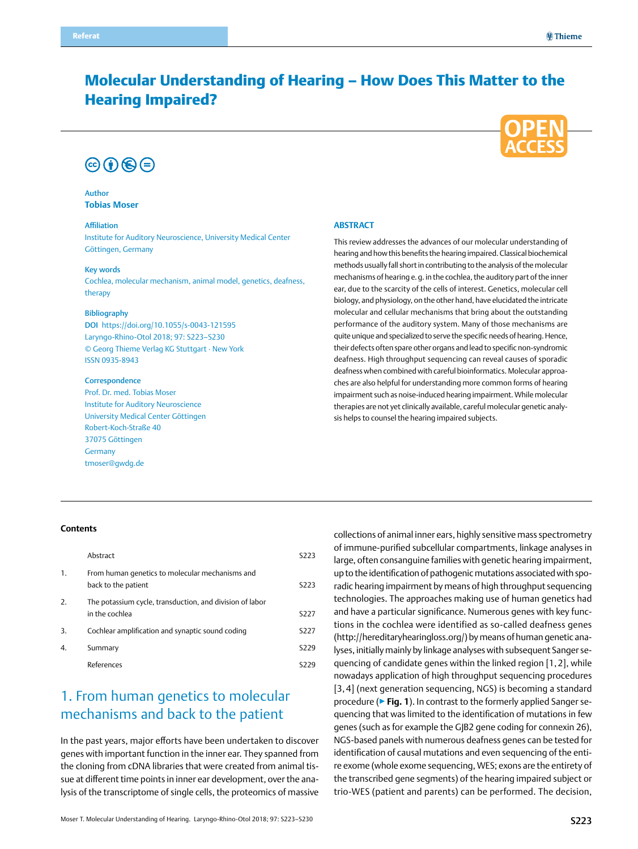# Molecular Understanding of Hearing – How Does This Matter to the Hearing Impaired?



# $\circledcirc$  (i)  $\circledcirc$   $\circledcirc$

Author **Tobias Moser**

### Affiliation

Institute for Auditory Neuroscience, University Medical Center Göttingen, Germany

#### Key words

Cochlea, molecular mechanism, animal model, genetics, deafness, therapy

#### Bibliography

DOI https://doi.org/10.1055/s-0043-121595 Laryngo-Rhino-Otol 2018; 97: S223–S230 © Georg Thieme Verlag KG Stuttgart · New York ISSN 0935-8943

#### **Correspondence**

Prof. Dr. med. Tobias Moser Institute for Auditory Neuroscience University Medical Center Göttingen Robert-Koch-Straße 40 37075 Göttingen **Germany** [tmoser@gwdg.de](mailto:tmoser@gwdg.de)

### **Abstract**

This review addresses the advances of our molecular understanding of hearing and how this benefits the hearing impaired. Classical biochemical methods usually fall short in contributing to the analysis of the molecular mechanisms of hearing e.g. in the cochlea, the auditory part of the inner ear, due to the scarcity of the cells of interest. Genetics, molecular cell biology, and physiology, on the other hand, have elucidated the intricate molecular and cellular mechanisms that bring about the outstanding performance of the auditory system. Many of those mechanisms are quite unique and specialized to serve the specific needs of hearing. Hence, their defects often spare other organs and lead to specific non-syndromic deafness. High throughput sequencing can reveal causes of sporadic deafness when combined with careful bioinformatics. Molecular approaches are also helpful for understanding more common forms of hearing impairment such as noise-induced hearing impairment. While molecular therapies are not yet clinically available, careful molecular genetic analysis helps to counsel the hearing impaired subjects.

### **Contents**

|    | Abstract                                                                   | S <sub>22</sub> 3 |
|----|----------------------------------------------------------------------------|-------------------|
| 1. | From human genetics to molecular mechanisms and<br>back to the patient     | S <sub>22</sub> 3 |
| 2. | The potassium cycle, transduction, and division of labor<br>in the cochlea | S <sub>227</sub>  |
| 3. | Cochlear amplification and synaptic sound coding                           | S227              |
| 4. | Summary                                                                    | S <sub>229</sub>  |
|    | References                                                                 | 5229              |

## 1. From human genetics to molecular mechanisms and back to the patient

In the past years, major efforts have been undertaken to discover genes with important function in the inner ear. They spanned from the cloning from cDNA libraries that were created from animal tissue at different time points in inner ear development, over the analysis of the transcriptome of single cells, the proteomics of massive

collections of animal inner ears, highly sensitive mass spectrometry of immune-purified subcellular compartments, linkage analyses in large, often consanguine families with genetic hearing impairment, up to the identification of pathogenic mutations associated with sporadic hearing impairment by means of high throughput sequencing technologies. The approaches making use of human genetics had and have a particular significance. Numerous genes with key functions in the cochlea were identified as so-called deafness genes (http://hereditaryhearingloss.org/) by means of human genetic analyses, initially mainly by linkage analyses with subsequent Sanger sequencing of candidate genes within the linked region [1,2], while nowadays application of high throughput sequencing procedures [3, 4] (next generation sequencing, NGS) is becoming a standard procedure (▶**Fig. 1**). In contrast to the formerly applied Sanger sequencing that was limited to the identification of mutations in few genes (such as for example the GJB2 gene coding for connexin 26), NGS-based panels with numerous deafness genes can be tested for identification of causal mutations and even sequencing of the entire exome (whole exome sequencing, WES; exons are the entirety of the transcribed gene segments) of the hearing impaired subject or trio-WES (patient and parents) can be performed. The decision,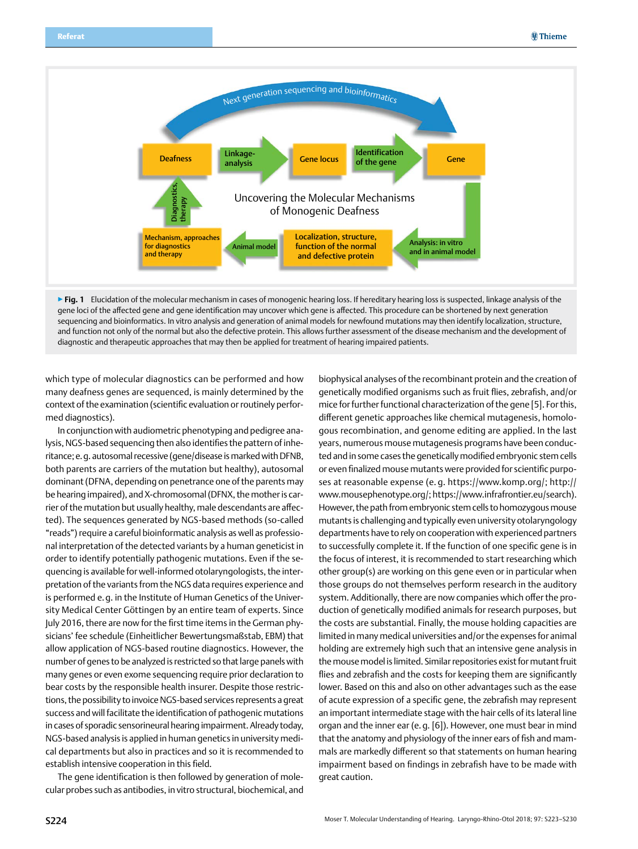

▶ **Fig. 1** Elucidation of the molecular mechanism in cases of monogenic hearing loss. If hereditary hearing loss is suspected, linkage analysis of the gene loci of the affected gene and gene identification may uncover which gene is affected. This procedure can be shortened by next generation sequencing and bioinformatics. In vitro analysis and generation of animal models for newfound mutations may then identify localization, structure, and function not only of the normal but also the defective protein. This allows further assessment of the disease mechanism and the development of diagnostic and therapeutic approaches that may then be applied for treatment of hearing impaired patients.

which type of molecular diagnostics can be performed and how many deafness genes are sequenced, is mainly determined by the context of the examination (scientific evaluation or routinely performed diagnostics).

In conjunction with audiometric phenotyping and pedigree analysis, NGS-based sequencing then also identifies the pattern of inheritance; e.g. autosomal recessive (gene/disease is marked with DFNB, both parents are carriers of the mutation but healthy), autosomal dominant (DFNA, depending on penetrance one of the parents may be hearing impaired), and X-chromosomal (DFNX, the mother is carrier of the mutation but usually healthy, male descendants are affected). The sequences generated by NGS-based methods (so-called "reads") require a careful bioinformatic analysis as well as professional interpretation of the detected variants by a human geneticist in order to identify potentially pathogenic mutations. Even if the sequencing is available for well-informed otolaryngologists, the interpretation of the variants from the NGS data requires experience and is performed e.g. in the Institute of Human Genetics of the University Medical Center Göttingen by an entire team of experts. Since July 2016, there are now for the first time items in the German physicians' fee schedule (Einheitlicher Bewertungsmaßstab, EBM) that allow application of NGS-based routine diagnostics. However, the number of genes to be analyzed is restricted so that large panels with many genes or even exome sequencing require prior declaration to bear costs by the responsible health insurer. Despite those restrictions, the possibility to invoice NGS-based services represents a great success and will facilitate the identification of pathogenic mutations in cases of sporadic sensorineural hearing impairment. Already today, NGS-based analysis is applied in human genetics in university medical departments but also in practices and so it is recommended to establish intensive cooperation in this field.

The gene identification is then followed by generation of molecular probes such as antibodies, in vitro structural, biochemical, and biophysical analyses of the recombinant protein and the creation of genetically modified organisms such as fruit flies, zebrafish, and/or mice for further functional characterization of the gene [5]. For this, different genetic approaches like chemical mutagenesis, homologous recombination, and genome editing are applied. In the last years, numerous mouse mutagenesis programs have been conducted and in some cases the genetically modified embryonic stem cells or even finalized mouse mutants were provided for scientific purposes at reasonable expense (e. g. https://www.komp.org/; http:// www.mousephenotype.org/; https://www.infrafrontier.eu/search). However, the path from embryonic stem cells to homozygous mouse mutants is challenging and typically even university otolaryngology departments have to rely on cooperation with experienced partners to successfully complete it. If the function of one specific gene is in the focus of interest, it is recommended to start researching which other group(s) are working on this gene even or in particular when those groups do not themselves perform research in the auditory system. Additionally, there are now companies which offer the production of genetically modified animals for research purposes, but the costs are substantial. Finally, the mouse holding capacities are limited in many medical universities and/or the expenses for animal holding are extremely high such that an intensive gene analysis in the mouse model is limited. Similar repositories exist for mutant fruit flies and zebrafish and the costs for keeping them are significantly lower. Based on this and also on other advantages such as the ease of acute expression of a specific gene, the zebrafish may represent an important intermediate stage with the hair cells of its lateral line organ and the inner ear (e.g. [6]). However, one must bear in mind that the anatomy and physiology of the inner ears of fish and mammals are markedly different so that statements on human hearing impairment based on findings in zebrafish have to be made with great caution.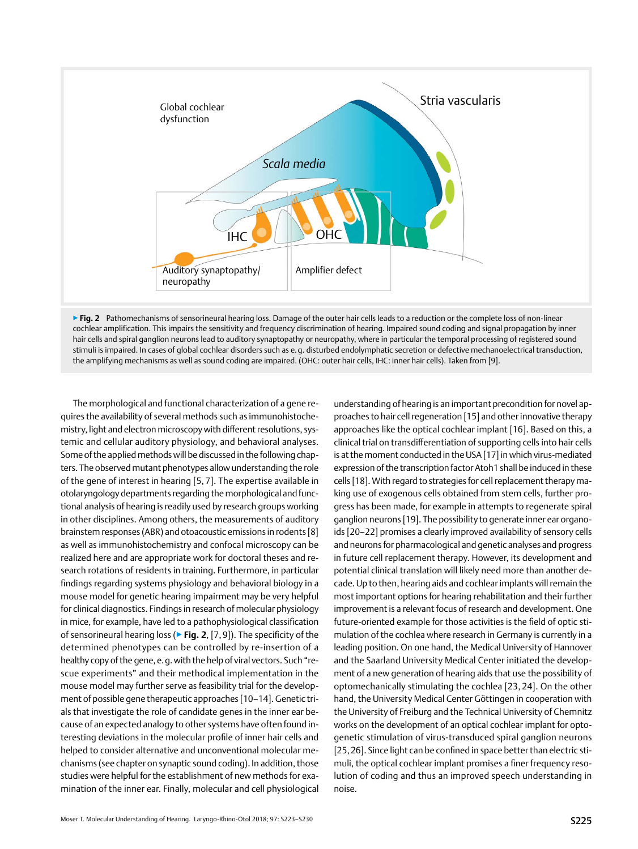

▶ Fig. 2 Pathomechanisms of sensorineural hearing loss. Damage of the outer hair cells leads to a reduction or the complete loss of non-linear cochlear amplification. This impairs the sensitivity and frequency discrimination of hearing. Impaired sound coding and signal propagation by inner hair cells and spiral ganglion neurons lead to auditory synaptopathy or neuropathy, where in particular the temporal processing of registered sound stimuli is impaired. In cases of global cochlear disorders such as e.g. disturbed endolymphatic secretion or defective mechanoelectrical transduction, the amplifying mechanisms as well as sound coding are impaired. (OHC: outer hair cells, IHC: inner hair cells). Taken from [9].

The morphological and functional characterization of a gene requires the availability of several methods such as immunohistochemistry, light and electron microscopy with different resolutions, systemic and cellular auditory physiology, and behavioral analyses. Some of the applied methods will be discussed in the following chapters. The observed mutant phenotypes allow understanding the role of the gene of interest in hearing [5, 7]. The expertise available in otolaryngology departments regarding the morphological and functional analysis of hearing is readily used by research groups working in other disciplines. Among others, the measurements of auditory brainstem responses (ABR) and otoacoustic emissions in rodents [8] as well as immunohistochemistry and confocal microscopy can be realized here and are appropriate work for doctoral theses and research rotations of residents in training. Furthermore, in particular findings regarding systems physiology and behavioral biology in a mouse model for genetic hearing impairment may be very helpful for clinical diagnostics. Findings in research of molecular physiology in mice, for example, have led to a pathophysiological classification of sensorineural hearing loss (▶**Fig. 2**, [7,9]). The specificity of the determined phenotypes can be controlled by re-insertion of a healthy copy of the gene, e.g. with the help of viral vectors. Such "rescue experiments" and their methodical implementation in the mouse model may further serve as feasibility trial for the development of possible gene therapeutic approaches [10–14]. Genetic trials that investigate the role of candidate genes in the inner ear because of an expected analogy to other systems have often found interesting deviations in the molecular profile of inner hair cells and helped to consider alternative and unconventional molecular mechanisms (see chapter on synaptic sound coding). In addition, those studies were helpful for the establishment of new methods for examination of the inner ear. Finally, molecular and cell physiological

understanding of hearing is an important precondition for novel approaches to hair cell regeneration [15] and other innovative therapy approaches like the optical cochlear implant [16]. Based on this, a clinical trial on transdifferentiation of supporting cells into hair cells is at the moment conducted in the USA [17] in which virus-mediated expression of the transcription factor Atoh1 shall be induced in these cells [18]. With regard to strategies for cell replacement therapy making use of exogenous cells obtained from stem cells, further progress has been made, for example in attempts to regenerate spiral ganglion neurons [19]. The possibility to generate inner ear organoids [20–22] promises a clearly improved availability of sensory cells and neurons for pharmacological and genetic analyses and progress in future cell replacement therapy. However, its development and potential clinical translation will likely need more than another decade. Up to then, hearing aids and cochlear implants will remain the most important options for hearing rehabilitation and their further improvement is a relevant focus of research and development. One future-oriented example for those activities is the field of optic stimulation of the cochlea where research in Germany is currently in a leading position. On one hand, the Medical University of Hannover and the Saarland University Medical Center initiated the development of a new generation of hearing aids that use the possibility of optomechanically stimulating the cochlea [23, 24]. On the other hand, the University Medical Center Göttingen in cooperation with the University of Freiburg and the Technical University of Chemnitz works on the development of an optical cochlear implant for optogenetic stimulation of virus-transduced spiral ganglion neurons [25,26]. Since light can be confined in space better than electric stimuli, the optical cochlear implant promises a finer frequency resolution of coding and thus an improved speech understanding in noise.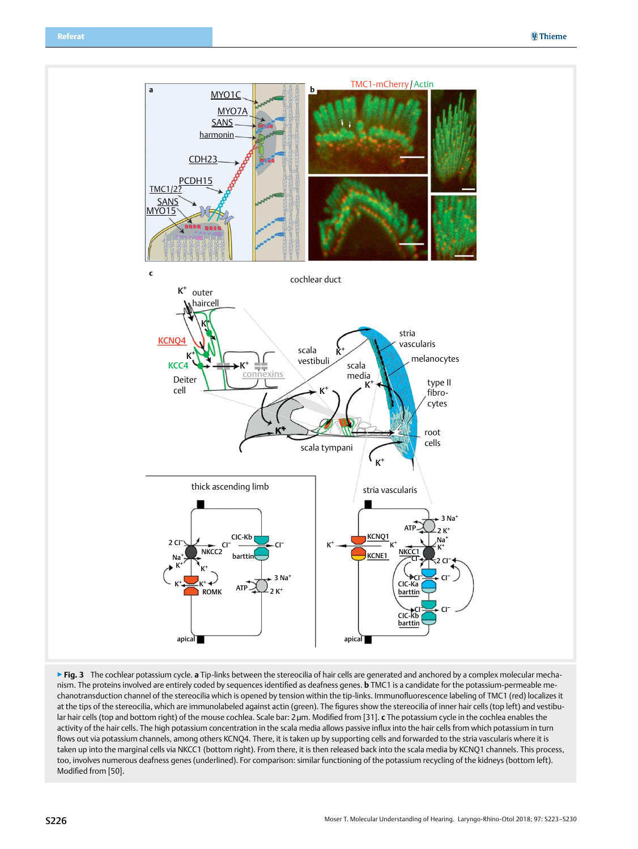

▶**Fig. 3** The cochlear potassium cycle. **a** Tip-links between the stereocilia of hair cells are generated and anchored by a complex molecular mechanism. The proteins involved are entirely coded by sequences identified as deafness genes. **b** TMC1 is a candidate for the potassium-permeable mechanotransduction channel of the stereocilia which is opened by tension within the tip-links. Immunofluorescence labeling of TMC1 (red) localizes it at the tips of the stereocilia, which are immunolabeled against actin (green). The figures show the stereocilia of inner hair cells (top left) and vestibular hair cells (top and bottom right) of the mouse cochlea. Scale bar: 2µm. Modified from [31]. **c** The potassium cycle in the cochlea enables the activity of the hair cells. The high potassium concentration in the scala media allows passive influx into the hair cells from which potassium in turn flows out via potassium channels, among others KCNQ4. There, it is taken up by supporting cells and forwarded to the stria vascularis where it is taken up into the marginal cells via NKCC1 (bottom right). From there, it is then released back into the scala media by KCNQ1 channels. This process, too, involves numerous deafness genes (underlined). For comparison: similar functioning of the potassium recycling of the kidneys (bottom left). Modified from [50].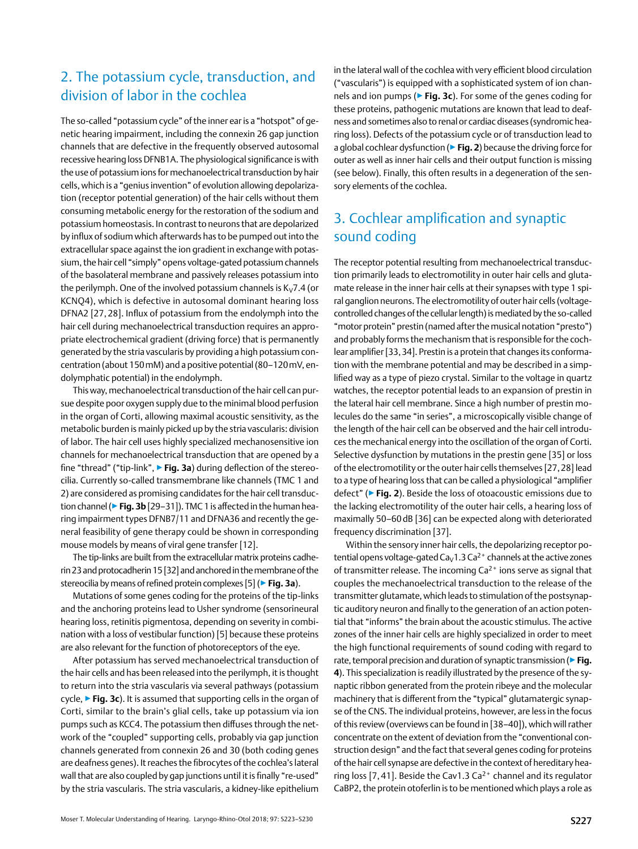## <span id="page-4-0"></span>2. The potassium cycle, transduction, and division of labor in the cochlea

The so-called "potassium cycle" of the inner ear is a "hotspot" of genetic hearing impairment, including the connexin 26 gap junction channels that are defective in the frequently observed autosomal recessive hearing loss DFNB1A. The physiological significance is with the use of potassium ions for mechanoelectrical transduction by hair cells, which is a "genius invention" of evolution allowing depolarization (receptor potential generation) of the hair cells without them consuming metabolic energy for the restoration of the sodium and potassium homeostasis. In contrast to neurons that are depolarized by influx of sodium which afterwards has to be pumped out into the extracellular space against the ion gradient in exchange with potassium, the hair cell "simply" opens voltage-gated potassium channels of the basolateral membrane and passively releases potassium into the perilymph. One of the involved potassium channels is  $K_V$ 7.4 (or KCNQ4), which is defective in autosomal dominant hearing loss DFNA2 [27, 28]. Influx of potassium from the endolymph into the hair cell during mechanoelectrical transduction requires an appropriate electrochemical gradient (driving force) that is permanently generated by the stria vascularis by providing a high potassium concentration (about 150mM) and a positive potential (80–120mV, endolymphatic potential) in the endolymph.

This way, mechanoelectrical transduction of the hair cell can pursue despite poor oxygen supply due to the minimal blood perfusion in the organ of Corti, allowing maximal acoustic sensitivity, as the metabolic burden is mainly picked up by the stria vascularis: division of labor. The hair cell uses highly specialized mechanosensitive ion channels for mechanoelectrical transduction that are opened by a fine "thread" ("tip-link", ▶**Fig. 3a**) during deflection of the stereocilia. Currently so-called transmembrane like channels (TMC 1 and 2) are considered as promising candidates for the hair cell transduction channel (▶**Fig. 3b** [29–31]). TMC 1 is affected in the human hearing impairment types DFNB7/11 and DFNA36 and recently the general feasibility of gene therapy could be shown in corresponding mouse models by means of viral gene transfer [12].

The tip-links are built from the extracellular matrix proteins cadherin 23 and protocadherin 15 [32] and anchored in the membrane of the stereocilia by means of refined protein complexes [5] (▶**Fig. 3a**).

Mutations of some genes coding for the proteins of the tip-links and the anchoring proteins lead to Usher syndrome (sensorineural hearing loss, retinitis pigmentosa, depending on severity in combination with a loss of vestibular function) [5] because these proteins are also relevant for the function of photoreceptors of the eye.

After potassium has served mechanoelectrical transduction of the hair cells and has been released into the perilymph, it is thought to return into the stria vascularis via several pathways (potassium cycle, ▶**Fig. 3c**). It is assumed that supporting cells in the organ of Corti, similar to the brain's glial cells, take up potassium via ion pumps such as KCC4. The potassium then diffuses through the network of the "coupled" supporting cells, probably via gap junction channels generated from connexin 26 and 30 (both coding genes are deafness genes). It reaches the fibrocytes of the cochlea's lateral wall that are also coupled by gap junctions until it is finally "re-used" by the stria vascularis. The stria vascularis, a kidney-like epithelium

in the lateral wall of the cochlea with very efficient blood circulation ("vascularis") is equipped with a sophisticated system of ion channels and ion pumps (▶**Fig. 3c**). For some of the genes coding for these proteins, pathogenic mutations are known that lead to deafness and sometimes also to renal or cardiac diseases (syndromic hearing loss). Defects of the potassium cycle or of transduction lead to a global cochlear dysfunction (▶**Fig. 2**) because the driving force for outer as well as inner hair cells and their output function is missing (see below). Finally, this often results in a degeneration of the sensory elements of the cochlea.

# 3. Cochlear amplification and synaptic sound coding

The receptor potential resulting from mechanoelectrical transduction primarily leads to electromotility in outer hair cells and glutamate release in the inner hair cells at their synapses with type 1 spiral ganglion neurons. The electromotility of outer hair cells (voltagecontrolled changes of the cellular length) is mediated by the so-called "motor protein" prestin (named after the musical notation "presto") and probably forms the mechanism that is responsible for the cochlear amplifier [33,34]. Prestin is a protein that changes its conformation with the membrane potential and may be described in a simplified way as a type of piezo crystal. Similar to the voltage in quartz watches, the receptor potential leads to an expansion of prestin in the lateral hair cell membrane. Since a high number of prestin molecules do the same "in series", a microscopically visible change of the length of the hair cell can be observed and the hair cell introduces the mechanical energy into the oscillation of the organ of Corti. Selective dysfunction by mutations in the prestin gene [35] or loss of the electromotility or the outer hair cells themselves [27,28] lead to a type of hearing loss that can be called a physiological "amplifier defect" (▶**Fig. 2**). Beside the loss of otoacoustic emissions due to the lacking electromotility of the outer hair cells, a hearing loss of maximally 50–60dB [36] can be expected along with deteriorated frequency discrimination [37].

Within the sensory inner hair cells, the depolarizing receptor potential opens voltage-gated  $Ca<sub>v</sub>1.3 Ca<sup>2+</sup>$  channels at the active zones of transmitter release. The incoming Ca<sup>2+</sup> ions serve as signal that couples the mechanoelectrical transduction to the release of the transmitter glutamate, which leads to stimulation of the postsynaptic auditory neuron and finally to the generation of an action potential that "informs" the brain about the acoustic stimulus. The active zones of the inner hair cells are highly specialized in order to meet the high functional requirements of sound coding with regard to rate, temporal precision and duration of synaptic transmission (▶**Fig. 4**). This specialization is readily illustrated by the presence of the synaptic ribbon generated from the protein ribeye and the molecular machinery that is different from the "typical" glutamatergic synapse of the CNS. The individual proteins, however, are less in the focus of this review (overviews can be found in [38–40]), which will rather concentrate on the extent of deviation from the "conventional construction design" and the fact that several genes coding for proteins of the hair cell synapse are defective in the context of hereditary hearing loss [7, 41]. Beside the Cav1.3 Ca<sup>2+</sup> channel and its regulator CaBP2, the protein otoferlin is to be mentioned which plays a role as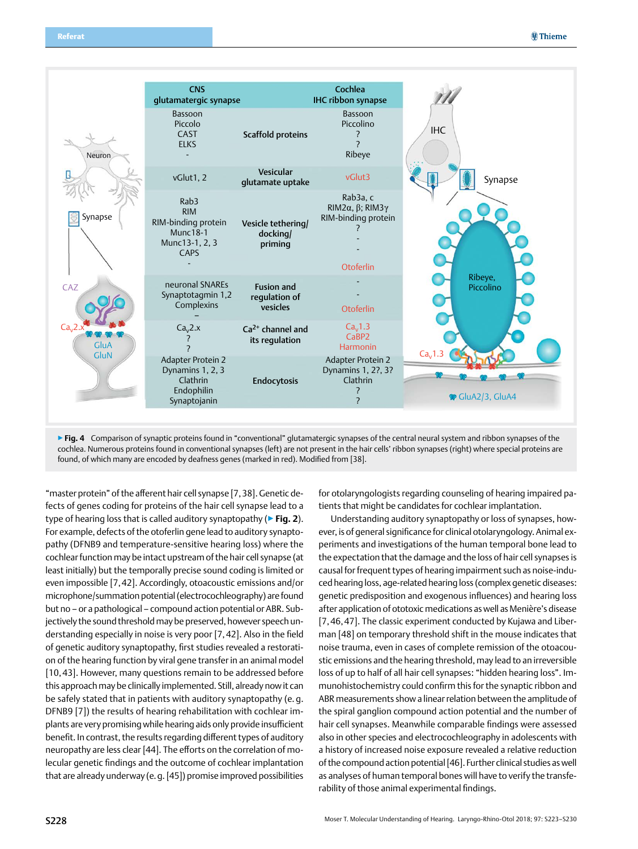

▶ Fig. 4 Comparison of synaptic proteins found in "conventional" glutamatergic synapses of the central neural system and ribbon synapses of the cochlea. Numerous proteins found in conventional synapses (left) are not present in the hair cells' ribbon synapses (right) where special proteins are found, of which many are encoded by deafness genes (marked in red). Modified from [38].

"master protein" of the afferent hair cell synapse [7,38]. Genetic defects of genes coding for proteins of the hair cell synapse lead to a type of hearing loss that is called auditory synaptopathy (▶**Fig. 2**). For example, defects of the otoferlin gene lead to auditory synaptopathy (DFNB9 and temperature-sensitive hearing loss) where the cochlear function may be intact upstream of the hair cell synapse (at least initially) but the temporally precise sound coding is limited or even impossible [7,42]. Accordingly, otoacoustic emissions and/or microphone/summation potential (electrocochleography) are found but no – or a pathological – compound action potential or ABR. Subjectively the sound threshold may be preserved, however speech understanding especially in noise is very poor [7,42]. Also in the field of genetic auditory synaptopathy, first studies revealed a restoration of the hearing function by viral gene transfer in an animal model [10,43]. However, many questions remain to be addressed before this approach may be clinically implemented. Still, already now it can be safely stated that in patients with auditory synaptopathy (e. g. DFNB9 [7]) the results of hearing rehabilitation with cochlear implants are very promising while hearing aids only provide insufficient benefit. In contrast, the results regarding different types of auditory neuropathy are less clear [44]. The efforts on the correlation of molecular genetic findings and the outcome of cochlear implantation that are already underway (e.g. [45]) promise improved possibilities

for otolaryngologists regarding counseling of hearing impaired patients that might be candidates for cochlear implantation.

Understanding auditory synaptopathy or loss of synapses, however, is of general significance for clinical otolaryngology. Animal experiments and investigations of the human temporal bone lead to the expectation that the damage and the loss of hair cell synapses is causal for frequent types of hearing impairment such as noise-induced hearing loss, age-related hearing loss (complex genetic diseases: genetic predisposition and exogenous influences) and hearing loss after application of ototoxic medications as well as Menière's disease [7,46,47]. The classic experiment conducted by Kujawa and Liberman [48] on temporary threshold shift in the mouse indicates that noise trauma, even in cases of complete remission of the otoacoustic emissions and the hearing threshold, may lead to an irreversible loss of up to half of all hair cell synapses: "hidden hearing loss". Immunohistochemistry could confirm this for the synaptic ribbon and ABR measurements show a linear relation between the amplitude of the spiral ganglion compound action potential and the number of hair cell synapses. Meanwhile comparable findings were assessed also in other species and electrocochleography in adolescents with a history of increased noise exposure revealed a relative reduction of the compound action potential [46]. Further clinical studies as well as analyses of human temporal bones will have to verify the transferability of those animal experimental findings.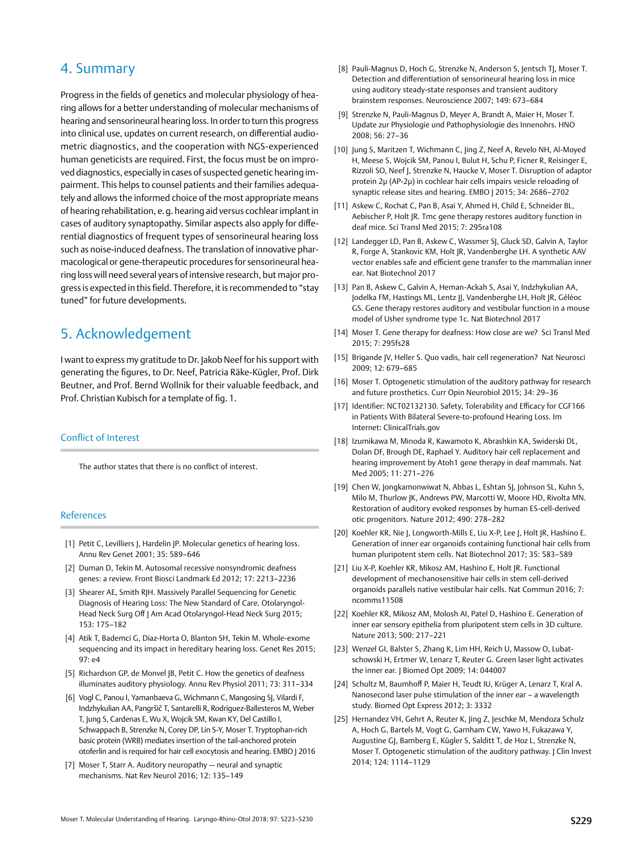### <span id="page-6-0"></span>4. Summary

Progress in the fields of genetics and molecular physiology of hearing allows for a better understanding of molecular mechanisms of hearing and sensorineural hearing loss. In order to turn this progress into clinical use, updates on current research, on differential audiometric diagnostics, and the cooperation with NGS-experienced human geneticists are required. First, the focus must be on improved diagnostics, especially in cases of suspected genetic hearing impairment. This helps to counsel patients and their families adequately and allows the informed choice of the most appropriate means of hearing rehabilitation, e.g. hearing aid versus cochlear implant in cases of auditory synaptopathy. Similar aspects also apply for differential diagnostics of frequent types of sensorineural hearing loss such as noise-induced deafness. The translation of innovative pharmacological or gene-therapeutic procedures for sensorineural hearing loss will need several years of intensive research, but major progress is expected in this field. Therefore, it is recommended to "stay tuned" for future developments.

## 5. Acknowledgement

I want to express my gratitude to Dr. Jakob Neef for his support with generating the figures, to Dr. Neef, Patricia Räke-Kügler, Prof. Dirk Beutner, and Prof. Bernd Wollnik for their valuable feedback, and Prof. Christian Kubisch for a template of fig. 1.

### Conflict of Interest

The author states that there is no conflict of interest.

### References

- [1] Petit C, Levilliers J, Hardelin JP. Molecular genetics of hearing loss. Annu Rev Genet 2001; 35: 589–646
- [2] Duman D, Tekin M. Autosomal recessive nonsyndromic deafness genes: a review. Front Biosci Landmark Ed 2012; 17: 2213–2236
- [3] Shearer AE, Smith RJH. Massively Parallel Sequencing for Genetic Diagnosis of Hearing Loss: The New Standard of Care. Otolaryngol-Head Neck Surg Off J Am Acad Otolaryngol-Head Neck Surg 2015; 153: 175–182
- [4] Atik T, Bademci G, Diaz-Horta O, Blanton SH, Tekin M. Whole-exome sequencing and its impact in hereditary hearing loss. Genet Res 2015; 97: e4
- [5] Richardson GP, de Monvel JB, Petit C. How the genetics of deafness illuminates auditory physiology. Annu Rev Physiol 2011; 73: 311–334
- [6] Vogl C, Panou I, Yamanbaeva G, Wichmann C, Mangosing SJ, Vilardi F, Indzhykulian AA, Pangršič T, Santarelli R, Rodriguez-Ballesteros M, Weber T, Jung S, Cardenas E, Wu X, Wojcik SM, Kwan KY, Del Castillo I, Schwappach B, Strenzke N, Corey DP, Lin S-Y, Moser T. Tryptophan-rich basic protein (WRB) mediates insertion of the tail-anchored protein otoferlin and is required for hair cell exocytosis and hearing. EMBO J 2016
- [7] Moser T, Starr A. Auditory neuropathy neural and synaptic mechanisms. Nat Rev Neurol 2016; 12: 135–149
- [8] Pauli-Magnus D, Hoch G, Strenzke N, Anderson S, Jentsch TJ, Moser T. Detection and differentiation of sensorineural hearing loss in mice using auditory steady-state responses and transient auditory brainstem responses. Neuroscience 2007; 149: 673–684
- [9] Strenzke N, Pauli-Magnus D, Meyer A, Brandt A, Maier H, Moser T. Update zur Physiologie und Pathophysiologie des Innenohrs. HNO 2008; 56: 27–36
- [10] Jung S, Maritzen T, Wichmann C, Jing Z, Neef A, Revelo NH, Al-Moyed H, Meese S, Wojcik SM, Panou I, Bulut H, Schu P, Ficner R, Reisinger E, Rizzoli SO, Neef J, Strenzke N, Haucke V, Moser T. Disruption of adaptor protein 2μ (AP-2μ) in cochlear hair cells impairs vesicle reloading of synaptic release sites and hearing. EMBO | 2015; 34: 2686-2702
- [11] Askew C, Rochat C, Pan B, Asai Y, Ahmed H, Child E, Schneider BL, Aebischer P, Holt JR. Tmc gene therapy restores auditory function in deaf mice. Sci Transl Med 2015; 7: 295ra108
- [12] Landegger LD, Pan B, Askew C, Wassmer SJ, Gluck SD, Galvin A, Taylor R, Forge A, Stankovic KM, Holt JR, Vandenberghe LH. A synthetic AAV vector enables safe and efficient gene transfer to the mammalian inner ear. Nat Biotechnol 2017
- [13] Pan B, Askew C, Galvin A, Heman-Ackah S, Asai Y, Indzhykulian AA, Jodelka FM, Hastings ML, Lentz JJ, Vandenberghe LH, Holt JR, Géléoc GS. Gene therapy restores auditory and vestibular function in a mouse model of Usher syndrome type 1c. Nat Biotechnol 2017
- [14] Moser T. Gene therapy for deafness: How close are we? Sci Transl Med 2015; 7: 295fs28
- [15] Brigande JV, Heller S. Quo vadis, hair cell regeneration? Nat Neurosci 2009; 12: 679–685
- [16] Moser T. Optogenetic stimulation of the auditory pathway for research and future prosthetics. Curr Opin Neurobiol 2015; 34: 29–36
- [17] Identifier: NCT02132130. Safety, Tolerability and Efficacy for CGF166 in Patients With Bilateral Severe-to-profound Hearing Loss. Im Internet: ClinicalTrials.gov
- [18] Izumikawa M, Minoda R, Kawamoto K, Abrashkin KA, Swiderski DL, Dolan DF, Brough DE, Raphael Y. Auditory hair cell replacement and hearing improvement by Atoh1 gene therapy in deaf mammals. Nat Med 2005; 11: 271–276
- [19] Chen W, Jongkamonwiwat N, Abbas L, Eshtan SJ, Johnson SL, Kuhn S, Milo M, Thurlow JK, Andrews PW, Marcotti W, Moore HD, Rivolta MN. Restoration of auditory evoked responses by human ES-cell-derived otic progenitors. Nature 2012; 490: 278–282
- [20] Koehler KR, Nie J, Longworth-Mills E, Liu X-P, Lee J, Holt JR, Hashino E. Generation of inner ear organoids containing functional hair cells from human pluripotent stem cells. Nat Biotechnol 2017; 35: 583–589
- [21] Liu X-P, Koehler KR, Mikosz AM, Hashino E, Holt JR. Functional development of mechanosensitive hair cells in stem cell-derived organoids parallels native vestibular hair cells. Nat Commun 2016; 7: ncomms11508
- [22] Koehler KR, Mikosz AM, Molosh AI, Patel D, Hashino E. Generation of inner ear sensory epithelia from pluripotent stem cells in 3D culture. Nature 2013; 500: 217–221
- [23] Wenzel GI, Balster S, Zhang K, Lim HH, Reich U, Massow O, Lubatschowski H, Ertmer W, Lenarz T, Reuter G. Green laser light activates the inner ear. J Biomed Opt 2009; 14: 044007
- [24] Schultz M, Baumhoff P, Maier H, Teudt IU, Krüger A, Lenarz T, Kral A. Nanosecond laser pulse stimulation of the inner ear – a wavelength study. Biomed Opt Express 2012; 3: 3332
- [25] Hernandez VH, Gehrt A, Reuter K, Jing Z, Jeschke M, Mendoza Schulz A, Hoch G, Bartels M, Vogt G, Garnham CW, Yawo H, Fukazawa Y, Augustine GJ, Bamberg E, Kügler S, Salditt T, de Hoz L, Strenzke N, Moser T. Optogenetic stimulation of the auditory pathway. J Clin Invest 2014; 124: 1114–1129